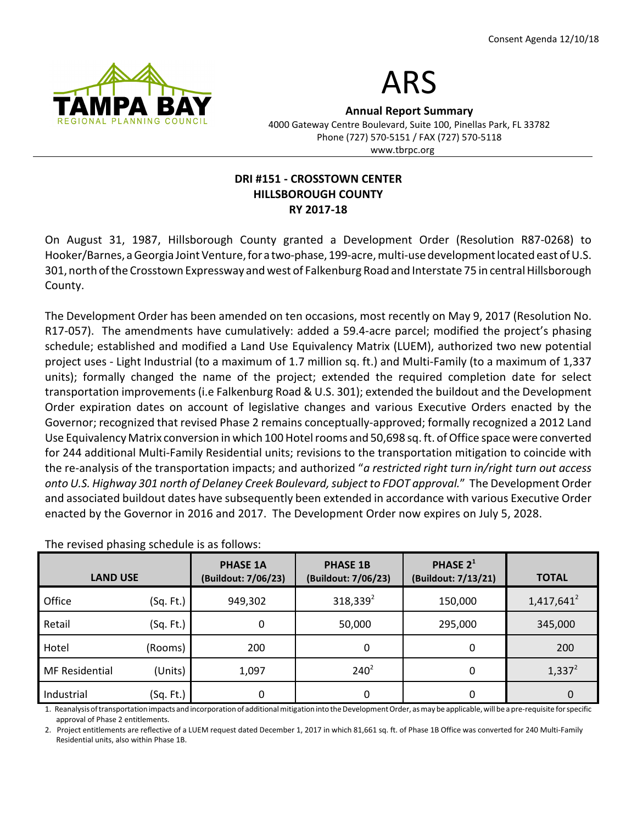



Annual Report Summary 4000 Gateway Centre Boulevard, Suite 100, Pinellas Park, FL 33782 Phone (727) 570-5151 / FAX (727) 570-5118

#### www.tbrpc.org

### DRI #151 - CROSSTOWN CENTER HILLSBOROUGH COUNTY RY 2017-18

On August 31, 1987, Hillsborough County granted a Development Order (Resolution R87-0268) to Hooker/Barnes, a Georgia Joint Venture, for a two-phase, 199-acre, multi-use development located east of U.S. 301, north of the Crosstown Expressway and west of Falkenburg Road and Interstate 75 in central Hillsborough County.

The Development Order has been amended on ten occasions, most recently on May 9, 2017 (Resolution No. R17-057). The amendments have cumulatively: added a 59.4-acre parcel; modified the project's phasing schedule; established and modified a Land Use Equivalency Matrix (LUEM), authorized two new potential project uses - Light Industrial (to a maximum of 1.7 million sq. ft.) and Multi-Family (to a maximum of 1,337 units); formally changed the name of the project; extended the required completion date for select transportation improvements (i.e Falkenburg Road & U.S. 301); extended the buildout and the Development Order expiration dates on account of legislative changes and various Executive Orders enacted by the Governor; recognized that revised Phase 2 remains conceptually-approved; formally recognized a 2012 Land Use Equivalency Matrix conversion in which 100 Hotel rooms and 50,698 sq. ft. of Office space were converted for 244 additional Multi-Family Residential units; revisions to the transportation mitigation to coincide with the re-analysis of the transportation impacts; and authorized "a restricted right turn in/right turn out access onto U.S. Highway 301 north of Delaney Creek Boulevard, subject to FDOT approval." The Development Order and associated buildout dates have subsequently been extended in accordance with various Executive Order enacted by the Governor in 2016 and 2017. The Development Order now expires on July 5, 2028.

| <b>LAND USE</b>       |           | <b>PHASE 1A</b><br>(Buildout: 7/06/23) | <b>PHASE 1B</b><br>(Buildout: 7/06/23) | PHASE 2 <sup>1</sup><br>(Buildout: 7/13/21) | <b>TOTAL</b>  |
|-----------------------|-----------|----------------------------------------|----------------------------------------|---------------------------------------------|---------------|
| Office                | (Sq. Ft.) | 949,302                                | $318,339^2$                            | 150,000                                     | $1,417,641^2$ |
| Retail                | (Sq. Ft.) | 0                                      | 50,000                                 | 295,000                                     | 345,000       |
| Hotel                 | (Rooms)   | 200                                    | 0                                      | 0                                           | 200           |
| <b>MF Residential</b> | (Units)   | 1,097                                  | $240^2$                                | 0                                           | $1,337^2$     |
| Industrial            | (Sq. Ft.) | 0                                      | 0                                      | 0                                           | 0             |

The revised phasing schedule is as follows:

1. Reanalysis of transportation impacts and incorporation of additional mitigation into the Development Order, as may be applicable, will be a pre-requisite for specific approval of Phase 2 entitlements.

2. Project entitlements are reflective of a LUEM request dated December 1, 2017 in which 81,661 sq. ft. of Phase 1B Office was converted for 240 Multi-Family Residential units, also within Phase 1B.